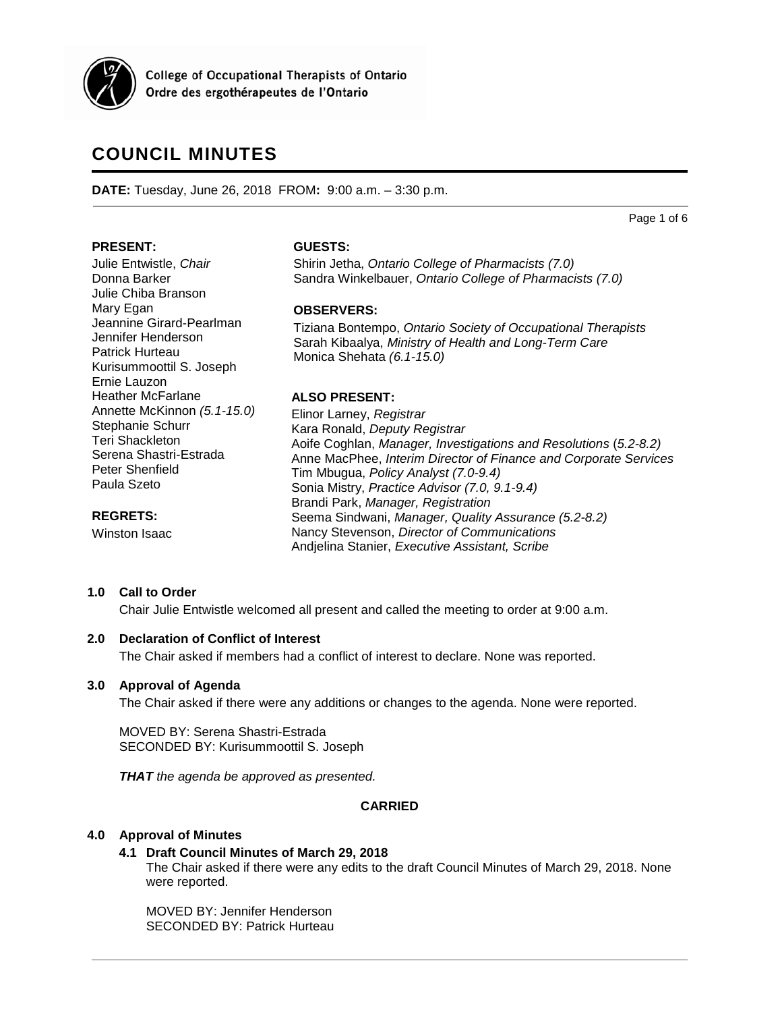

**College of Occupational Therapists of Ontario** Ordre des ergothérapeutes de l'Ontario

# **COUNCIL MINUTES**

**DATE:** Tuesday, June 26, 2018 FROM**:** 9:00 a.m. – 3:30 p.m.

Page 1 of 6

## **PRESENT:**

Mary Egan

Ernie Lauzon Heather McFarlane

Stephanie Schurr Teri Shackleton

Peter Shenfield Paula Szeto

**REGRETS:** Winston Isaac

Serena Shastri-Estrada

Julie Entwistle, *Chair* Donna Barker Julie Chiba Branson

Jeannine Girard-Pearlman Jennifer Henderson Patrick Hurteau

Kurisummoottil S. Joseph

Annette McKinnon *(5.1-15.0)*

# **GUESTS:**

Shirin Jetha, *Ontario College of Pharmacists (7.0)* Sandra Winkelbauer, *Ontario College of Pharmacists (7.0)*

# **OBSERVERS:**

Tiziana Bontempo, *Ontario Society of Occupational Therapists* Sarah Kibaalya, *Ministry of Health and Long-Term Care* Monica Shehata *(6.1-15.0)*

# **ALSO PRESENT:**

Elinor Larney, *Registrar* Kara Ronald, *Deputy Registrar* Aoife Coghlan, *Manager, Investigations and Resolutions* (*5.2-8.2)* Anne MacPhee, *Interim Director of Finance and Corporate Services* Tim Mbugua, *Policy Analyst (7.0-9.4)* Sonia Mistry, *Practice Advisor (7.0, 9.1-9.4)* Brandi Park, *Manager, Registration* Seema Sindwani, *Manager, Quality Assurance (5.2-8.2)* Nancy Stevenson, *Director of Communications* Andjelina Stanier, *Executive Assistant, Scribe*

# **1.0 Call to Order**

Chair Julie Entwistle welcomed all present and called the meeting to order at 9:00 a.m.

# **2.0 Declaration of Conflict of Interest**

The Chair asked if members had a conflict of interest to declare. None was reported.

# **3.0 Approval of Agenda**

The Chair asked if there were any additions or changes to the agenda. None were reported.

MOVED BY: Serena Shastri-Estrada SECONDED BY: Kurisummoottil S. Joseph

*THAT the agenda be approved as presented.*

# **CARRIED**

# **4.0 Approval of Minutes**

# **4.1 Draft Council Minutes of March 29, 2018**

The Chair asked if there were any edits to the draft Council Minutes of March 29, 2018. None were reported.

MOVED BY: Jennifer Henderson SECONDED BY: Patrick Hurteau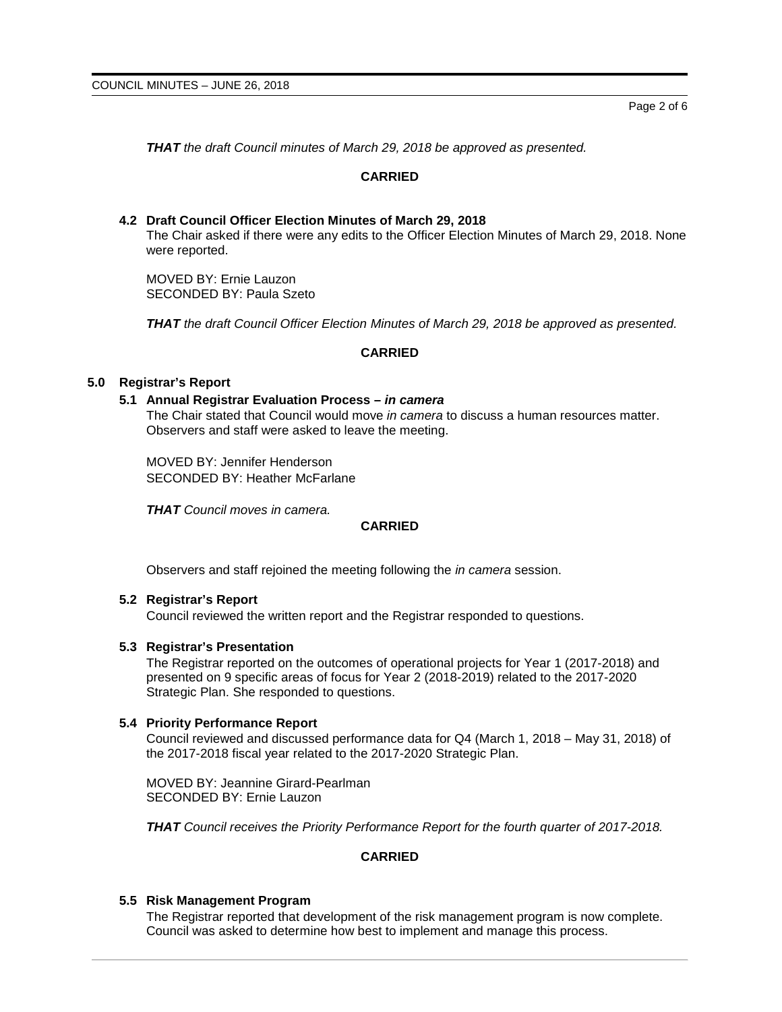Page 2 of 6

*THAT the draft Council minutes of March 29, 2018 be approved as presented.*

# **CARRIED**

# **4.2 Draft Council Officer Election Minutes of March 29, 2018** The Chair asked if there were any edits to the Officer Election Minutes of March 29, 2018. None were reported.

MOVED BY: Ernie Lauzon SECONDED BY: Paula Szeto

*THAT the draft Council Officer Election Minutes of March 29, 2018 be approved as presented.*

# **CARRIED**

# **5.0 Registrar's Report**

## **5.1 Annual Registrar Evaluation Process –** *in camera*

The Chair stated that Council would move *in camera* to discuss a human resources matter. Observers and staff were asked to leave the meeting.

MOVED BY: Jennifer Henderson SECONDED BY: Heather McFarlane

*THAT Council moves in camera.*

## **CARRIED**

Observers and staff rejoined the meeting following the *in camera* session.

#### **5.2 Registrar's Report**

Council reviewed the written report and the Registrar responded to questions.

#### **5.3 Registrar's Presentation**

The Registrar reported on the outcomes of operational projects for Year 1 (2017-2018) and presented on 9 specific areas of focus for Year 2 (2018-2019) related to the 2017-2020 Strategic Plan. She responded to questions.

## **5.4 Priority Performance Report**

Council reviewed and discussed performance data for Q4 (March 1, 2018 – May 31, 2018) of the 2017-2018 fiscal year related to the 2017-2020 Strategic Plan.

MOVED BY: Jeannine Girard-Pearlman SECONDED BY: Ernie Lauzon

*THAT Council receives the Priority Performance Report for the fourth quarter of 2017-2018.*

# **CARRIED**

## **5.5 Risk Management Program**

The Registrar reported that development of the risk management program is now complete. Council was asked to determine how best to implement and manage this process.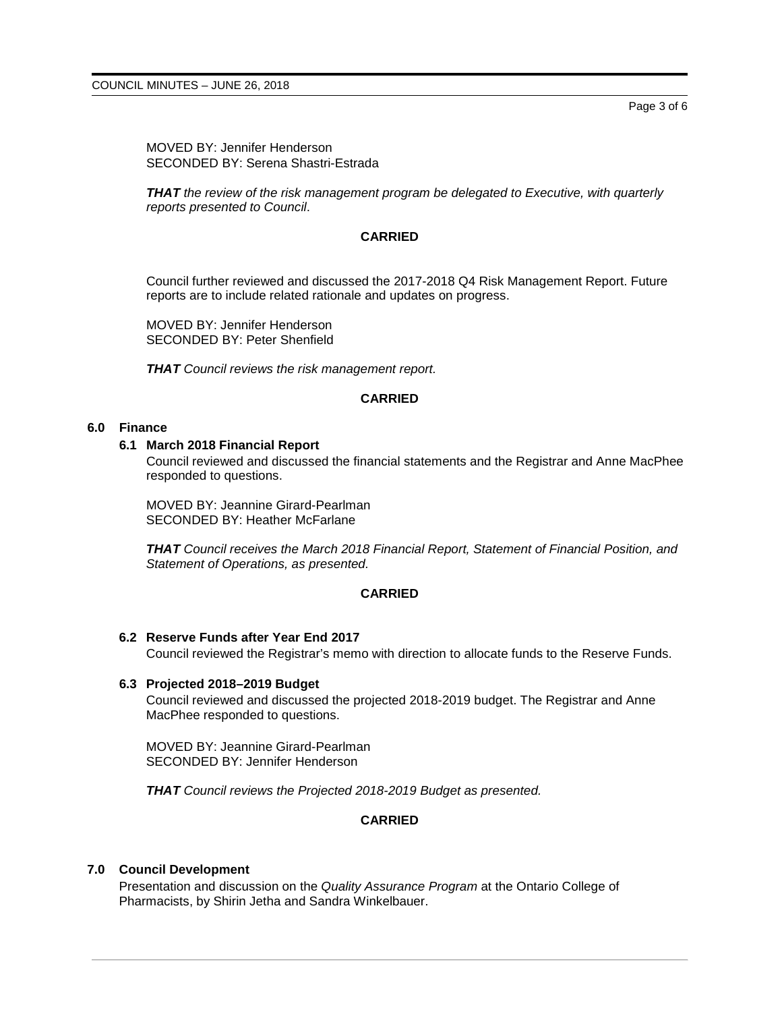MOVED BY: Jennifer Henderson SECONDED BY: Serena Shastri-Estrada

*THAT the review of the risk management program be delegated to Executive, with quarterly reports presented to Council*.

### **CARRIED**

Council further reviewed and discussed the 2017-2018 Q4 Risk Management Report. Future reports are to include related rationale and updates on progress.

MOVED BY: Jennifer Henderson SECONDED BY: Peter Shenfield

*THAT Council reviews the risk management report.*

## **CARRIED**

#### **6.0 Finance**

#### **6.1 March 2018 Financial Report**

Council reviewed and discussed the financial statements and the Registrar and Anne MacPhee responded to questions.

MOVED BY: Jeannine Girard-Pearlman SECONDED BY: Heather McFarlane

*THAT Council receives the March 2018 Financial Report, Statement of Financial Position, and Statement of Operations, as presented.*

#### **CARRIED**

#### **6.2 Reserve Funds after Year End 2017**

Council reviewed the Registrar's memo with direction to allocate funds to the Reserve Funds.

#### **6.3 Projected 2018–2019 Budget**

Council reviewed and discussed the projected 2018-2019 budget. The Registrar and Anne MacPhee responded to questions.

MOVED BY: Jeannine Girard-Pearlman SECONDED BY: Jennifer Henderson

*THAT Council reviews the Projected 2018-2019 Budget as presented.*

# **CARRIED**

#### **7.0 Council Development**

Presentation and discussion on the *Quality Assurance Program* at the Ontario College of Pharmacists, by Shirin Jetha and Sandra Winkelbauer.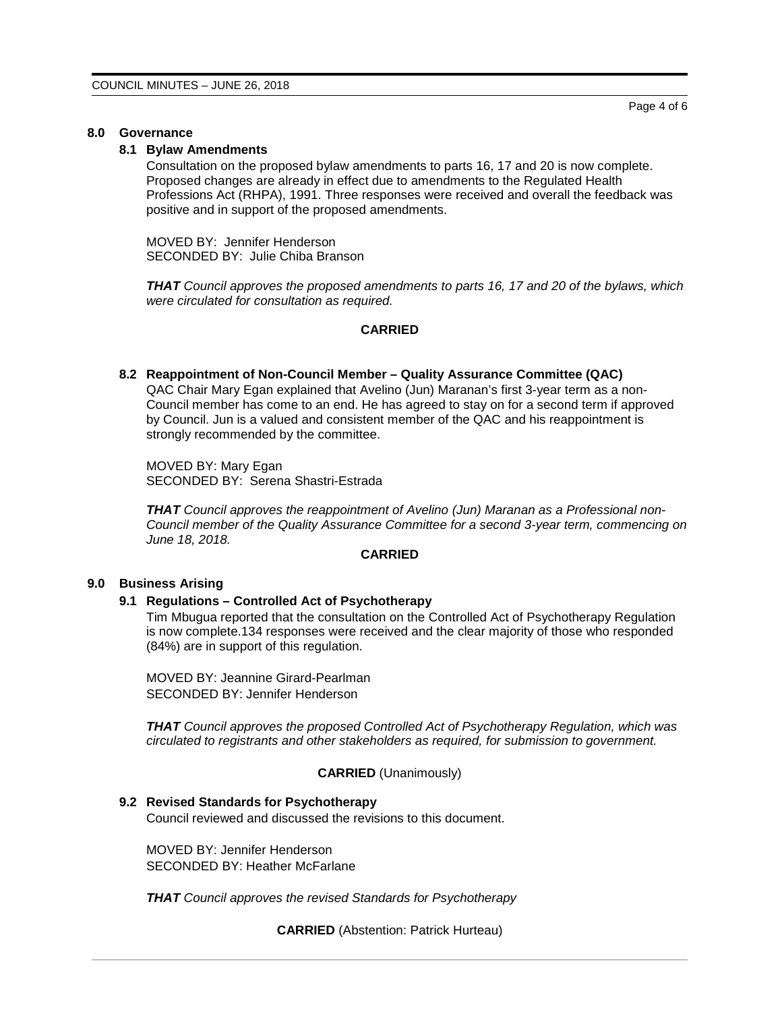# **8.0 Governance**

# **8.1 Bylaw Amendments**

Consultation on the proposed bylaw amendments to parts 16, 17 and 20 is now complete. Proposed changes are already in effect due to amendments to the Regulated Health Professions Act (RHPA), 1991. Three responses were received and overall the feedback was positive and in support of the proposed amendments.

MOVED BY: Jennifer Henderson SECONDED BY: Julie Chiba Branson

*THAT Council approves the proposed amendments to parts 16, 17 and 20 of the bylaws, which were circulated for consultation as required.*

# **CARRIED**

# **8.2 Reappointment of Non-Council Member – Quality Assurance Committee (QAC)**

QAC Chair Mary Egan explained that Avelino (Jun) Maranan's first 3-year term as a non-Council member has come to an end. He has agreed to stay on for a second term if approved by Council. Jun is a valued and consistent member of the QAC and his reappointment is strongly recommended by the committee.

MOVED BY: Mary Egan SECONDED BY: Serena Shastri-Estrada

*THAT Council approves the reappointment of Avelino (Jun) Maranan as a Professional non-Council member of the Quality Assurance Committee for a second 3-year term, commencing on June 18, 2018.*

## **CARRIED**

# **9.0 Business Arising**

#### **9.1 Regulations – Controlled Act of Psychotherapy**

Tim Mbugua reported that the consultation on the Controlled Act of Psychotherapy Regulation is now complete.134 responses were received and the clear majority of those who responded (84%) are in support of this regulation.

MOVED BY: Jeannine Girard-Pearlman SECONDED BY: Jennifer Henderson

*THAT Council approves the proposed Controlled Act of Psychotherapy Regulation, which was circulated to registrants and other stakeholders as required, for submission to government.*

# **CARRIED** (Unanimously)

# **9.2 Revised Standards for Psychotherapy**

Council reviewed and discussed the revisions to this document.

MOVED BY: Jennifer Henderson SECONDED BY: Heather McFarlane

*THAT Council approves the revised Standards for Psychotherapy*

**CARRIED** (Abstention: Patrick Hurteau)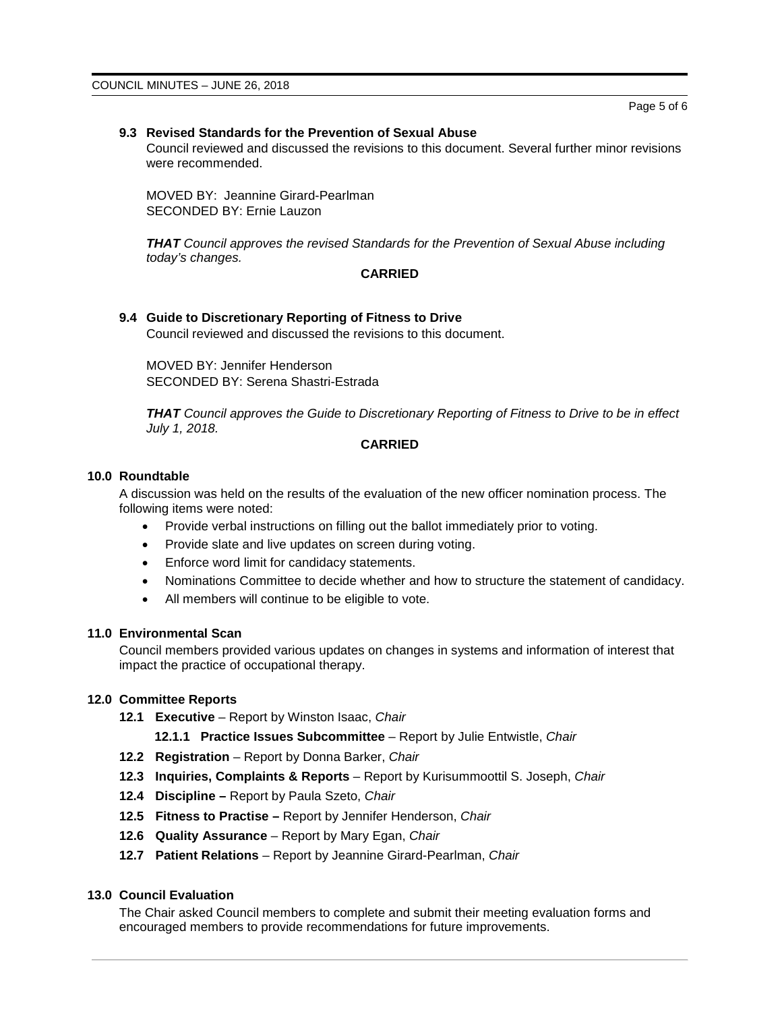## **9.3 Revised Standards for the Prevention of Sexual Abuse**

Council reviewed and discussed the revisions to this document. Several further minor revisions were recommended.

MOVED BY: Jeannine Girard-Pearlman SECONDED BY: Ernie Lauzon

*THAT Council approves the revised Standards for the Prevention of Sexual Abuse including today's changes.*

## **CARRIED**

## **9.4 Guide to Discretionary Reporting of Fitness to Drive**

Council reviewed and discussed the revisions to this document.

MOVED BY: Jennifer Henderson SECONDED BY: Serena Shastri-Estrada

*THAT Council approves the Guide to Discretionary Reporting of Fitness to Drive to be in effect July 1, 2018.*

# **CARRIED**

#### **10.0 Roundtable**

A discussion was held on the results of the evaluation of the new officer nomination process. The following items were noted:

- Provide verbal instructions on filling out the ballot immediately prior to voting.
- Provide slate and live updates on screen during voting.
- Enforce word limit for candidacy statements.
- Nominations Committee to decide whether and how to structure the statement of candidacy.
- All members will continue to be eligible to vote.

## **11.0 Environmental Scan**

Council members provided various updates on changes in systems and information of interest that impact the practice of occupational therapy.

# **12.0 Committee Reports**

- **12.1 Executive** Report by Winston Isaac, *Chair*
	- **12.1.1 Practice Issues Subcommittee**  Report by Julie Entwistle, *Chair*
- **12.2 Registration** Report by Donna Barker, *Chair*
- **12.3 Inquiries, Complaints & Reports** Report by Kurisummoottil S. Joseph, *Chair*
- **12.4 Discipline –** Report by Paula Szeto, *Chair*
- **12.5 Fitness to Practise –** Report by Jennifer Henderson, *Chair*
- **12.6 Quality Assurance**  Report by Mary Egan, *Chair*
- **12.7 Patient Relations** Report by Jeannine Girard-Pearlman, *Chair*

## **13.0 Council Evaluation**

The Chair asked Council members to complete and submit their meeting evaluation forms and encouraged members to provide recommendations for future improvements.